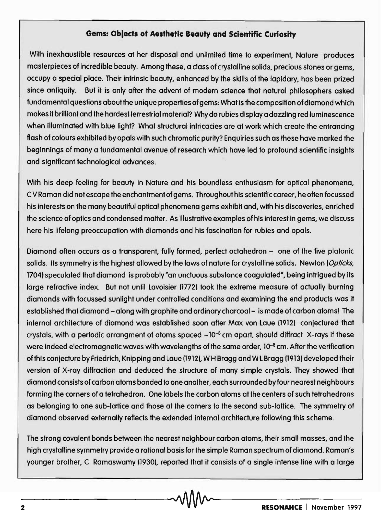## **Gems: Oblects of Aesthetic Beauty and Scientific Curiosity**

With inexhaustible resources at her disposal and unlimited time to experiment, Nature produces masterpieces of incredible beauty. Among these, a class of crystalline solids, precious stones or gems, occupy a special place. Their intrinsic beauty, enhanced by the skills of the lapidary, has been prized since antiquity. But it is only after the advent of modern science that natural philosophers asked fundamental questions about the unique properties of gems: What is the composition of diamond which makes it brilliant and the hardestterrestrlal material? Why do rubies display a dazzling red luminescence when illuminated with blue light? What structural intricacies are at work which create the entrancing flash of colours exhibited by opals with such chromatic purity? Enquiries such as these have marked the beginnings of many a fundamental aVenue of research which have led to profound scientific insights and significant technological advances.

With his deep feeling for beauty in Nature and his boundless enthusiasm for optical phenomena, C V Ramon did not escape the enchantment of gems. Throughout his scientific career, he often focussed his interests on the many beautiful optical phenomena gems exhibit and, with his discoveries, enriched the science of optics and condensed matter. As illustrative examples of his interest in gems, we discuss here his lifelong preoccupation with diamonds and his fascination for rubies and opals.

Diamond often occurs as a transparent, fully formed, perfect octahedron - one of the five platonic solids. Its symmetry is the highest allowed by the laws of nature for crystalline solids. Newton (Opticks, 1704) speculated that diamond is probably "an unctuous substance coagulated", being intrigued by its large refractive index. But not until lavoisier (1772) took the extreme measure of actually burning diamonds with focussed sunlight under controlled conditions and examining the end products was it established that diamond - along with graphite and ordinary charcoal - is made of carbon atoms! The internal architecture of diamond was established soon after Max von laue (1912) conjectured that crystals, with a periodic arrangment of atoms spaced  $\sim 10^{-8}$  cm apart, should diffract X-rays if these were indeed electromagnetic waves with wavelengths of the same order, 10<sup>-8</sup> cm. After the verification ofthis conjecture by Friedrich, Knipping and laue (1912), W H Bragg and W l Bragg (1913) developed their version of X-roy diffraction and deduced the structure of many simple crystals. They showed that diamond consists of carbon atoms bonded to one another, each surrounded by four nearest neighbours forming the corners of a tetrahedron. One labels the carbon atoms at the centers of such tetrahedrons as belonging to one sub-lattice and those at the corners to the second sub-lattice. The symmetry of diamond observed externally reflects the extended internal architecture following this scheme.

The strong covalent bonds between the nearest neighbour carbon atoms, their small masses, and the high crystalline symmetry provide a rational basis for the simple Roman spectrum of diamond. Ramon's younger brother, C Ramaswamy (1930), reported that it consists of a single intense line with a large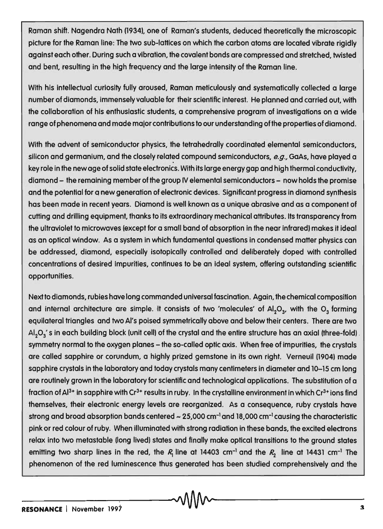Raman shift. Nagendra Nath (1934), one of Raman's students, deduced theoretically the microscopic picture for the Raman line: The two sub-lattices on which the carbon atoms are located vibrate rigidly against each other. During such a vibration, the covalent bonds are compressed and stretched, twisted and bent, resulting in the high frequency and the large intensity of the Raman line.

With his intellectual curiosity fully aroused, Raman meticulously and systematically collected a large number of diamonds, immensely valuable for their scientific interest. He planned and carried out, with the collaboration of his enthusiastic students, a comprehensive program of investigations on a wide range of phenomena and made major contributions to our understanding ofthe properties of diamond.

With the advent of semiconductor physics, the tetrahedrally coordinated elemental semiconductors, silicon and germanium, and the closely related compound semiconductors, *e.g.*, GaAs, have played a key role in the new age of solid state electronics. With its large energy gap and high thermal conductivity, diamond - the remaining member of the group IV elemental semiconductors - now holds the promise and the potential for a new generation of electronic devices. Significant progress in diamond synthesis has been made in recent years. Diamond is well known as a unique abrasive and as a component of cutting and drilling equipment, thanks to its extraordinary mechanical attributes. Its transparency from the ultraviolet to microwaves (except for a small band of absorption in the near infrared) makes it ideal as an optical window. As a system in which fundamental questions in condensed matter physics can be addressed, diamond, especially isotopically controlled and deliberately doped with controlled concentrations of desired Impurities, continues to be an ideal system, offering outstanding scientific opportunities.

Next to diamonds, rubies have long commanded universal fascination. Again, the chemical composition and internal architecture are simple. It consists of two 'molecules' of Al $_2$ O<sub>3</sub>, with the O<sub>3</sub> forming equilateral triangles and two AI's poised symmetrically above and below their centers. There are two Al $_2$ O $_3^{\prime}$  s in each building block (unit cell) of the crystal and the entire structure has an axial (three-fold) . symmetry normal to the oxygen planes - the so-called optic axis. When free of impurities, the crystals are called sapphire or corundum, a highly prized gemstone in its own right. Verneuil (1904) made sapphire crystals in the laboratory and today crystals many centimeters in diameter and 10-15 cm long are routinely grown in the laboratory for scientific and technological applications. The substitution of a fraction of  $Al^{3+}$  in sapphire with Cr<sup>3+</sup> results in ruby. In the crystalline environment in which Cr<sup>3+</sup> ions find themselves, their electronic energy levels are reorganized. As a consequence, ruby crystals have strong and broad absorption bands centered  $\sim 25,000$  cm<sup>-1</sup> and 18,000 cm<sup>-1</sup> causing the characteristic pink or red colour of ruby. When illuminated with strong radiation in these bands, the excited electrons relax into two metastable (long lived) states and finally make optical transitions to the ground states emitting two sharp lines in the red, the  $R_1$  line at 14403 cm<sup>-1</sup> and the  $R_2$  line at 14431 cm<sup>-1</sup> The phenomenon of the red luminescence thus generated has been studied comprehensively and the